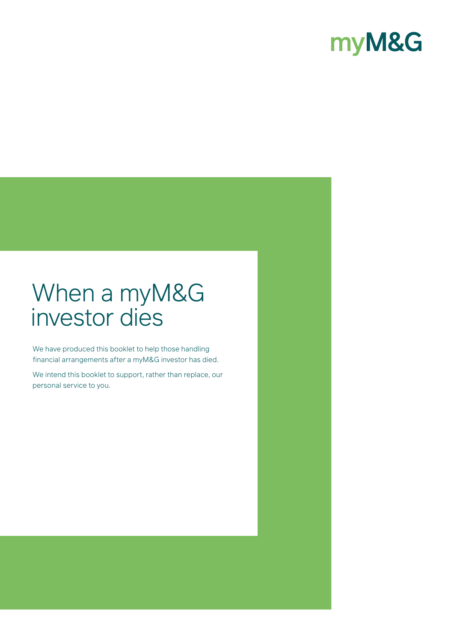# myM&G

# When a myM&G investor dies

We have produced this booklet to help those handling financial arrangements after a myM&G investor has died.

We intend this booklet to support, rather than replace, our personal service to you.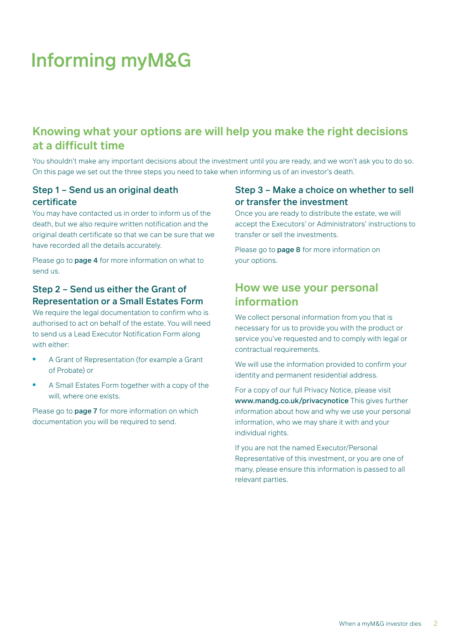# Informing myM&G

# **Knowing what your options are will help you make the right decisions at a difficult time**

You shouldn't make any important decisions about the investment until you are ready, and we won't ask you to do so. On this page we set out the three steps you need to take when informing us of an investor's death.

## Step 1 – Send us an original death certificate

You may have contacted us in order to inform us of the death, but we also require written notification and the original death certificate so that we can be sure that we have recorded all the details accurately.

Please go to **page 4** for more information on what to send us.

## Step 2 – Send us either the Grant of Representation or a Small Estates Form

We require the legal documentation to confirm who is authorised to act on behalf of the estate. You will need to send us a Lead Executor Notification Form along with either:

- A Grant of Representation (for example a Grant of Probate) or
- A Small Estates Form together with a copy of the will, where one exists.

Please go to **page 7** for more information on which documentation you will be required to send.

## Step 3 – Make a choice on whether to sell or transfer the investment

Once you are ready to distribute the estate, we will accept the Executors' or Administrators' instructions to transfer or sell the investments.

Please go to **page 8** for more information on your options.

## **How we use your personal information**

We collect personal information from you that is necessary for us to provide you with the product or service you've requested and to comply with legal or contractual requirements.

We will use the information provided to confirm your identity and permanent residential address.

For a copy of our full Privacy Notice, please visit www.mandg.co.uk/privacynotice This gives further information about how and why we use your personal information, who we may share it with and your individual rights.

If you are not the named Executor/Personal Representative of this investment, or you are one of many, please ensure this information is passed to all relevant parties.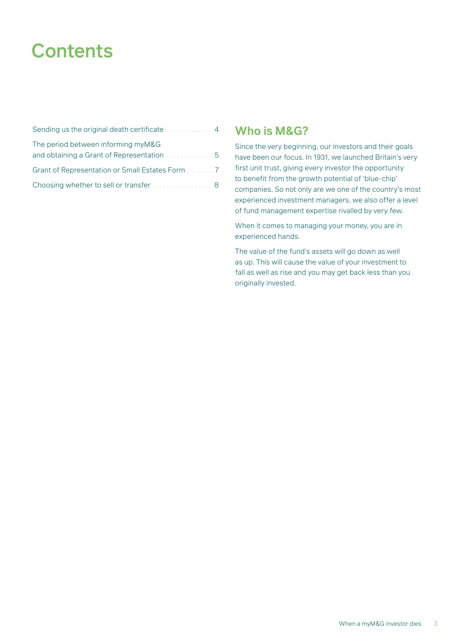# **Contents**

| Sending us the original death certificate 4     |
|-------------------------------------------------|
| The period between informing myM&G              |
|                                                 |
| Grant of Representation or Small Estates Form 7 |
| Choosing whether to sell or transfer8           |

## **Who is M&G?**

Since the very beginning, our investors and their goals have been our focus. In 1931, we launched Britain's very first unit trust, giving every investor the opportunity to benefit from the growth potential of 'blue-chip' companies. So not only are we one of the country's most experienced investment managers, we also offer a level of fund management expertise rivalled by very few.

When it comes to managing your money, you are in experienced hands.

The value of the fund's assets will go down as well as up. This will cause the value of your investment to fall as well as rise and you may get back less than you originally invested.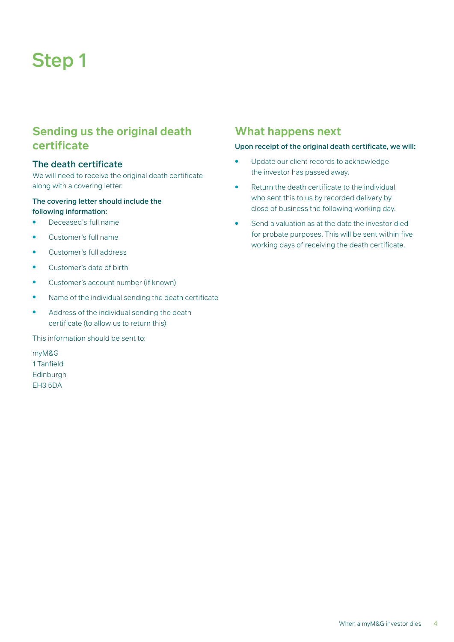# Step 1

# **Sending us the original death certificate**

### The death certificate

We will need to receive the original death certificate along with a covering letter.

### The covering letter should include the

- following information:
- Deceased's full name
- Customer's full name
- Customer's full address
- Customer's date of birth
- Customer's account number (if known)
- Name of the individual sending the death certificate
- Address of the individual sending the death certificate (to allow us to return this)

This information should be sent to:

myM&G 1 Tanfield Edinburgh EH3 5DA

## **What happens next**

#### Upon receipt of the original death certificate, we will:

- Update our client records to acknowledge the investor has passed away.
- Return the death certificate to the individual who sent this to us by recorded delivery by close of business the following working day.
- Send a valuation as at the date the investor died for probate purposes. This will be sent within five working days of receiving the death certificate.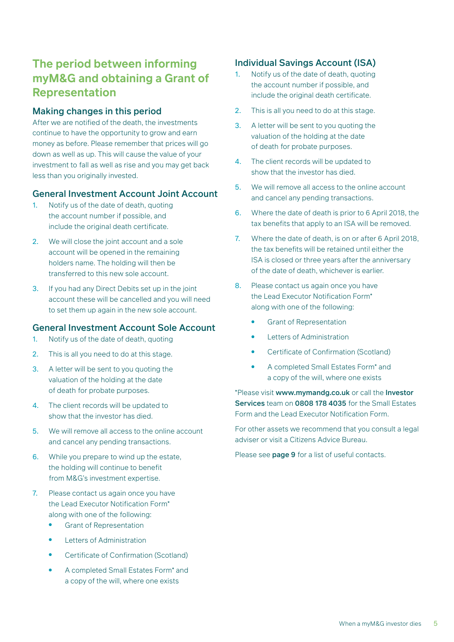# **The period between informing myM&G and obtaining a Grant of Representation**

### Making changes in this period

After we are notified of the death, the investments continue to have the opportunity to grow and earn money as before. Please remember that prices will go down as well as up. This will cause the value of your investment to fall as well as rise and you may get back less than you originally invested.

### General Investment Account Joint Account

- 1. Notify us of the date of death, quoting the account number if possible, and include the original death certificate.
- 2. We will close the joint account and a sole account will be opened in the remaining holders name. The holding will then be transferred to this new sole account.
- 3. If you had any Direct Debits set up in the joint account these will be cancelled and you will need to set them up again in the new sole account.

### General Investment Account Sole Account

- 1. Notify us of the date of death, quoting
- 2. This is all you need to do at this stage.
- 3. A letter will be sent to you quoting the valuation of the holding at the date of death for probate purposes.
- 4. The client records will be updated to show that the investor has died.
- 5. We will remove all access to the online account and cancel any pending transactions.
- 6. While you prepare to wind up the estate, the holding will continue to benefit from M&G's investment expertise.
- 7. Please contact us again once you have the Lead Executor Notification Form\* along with one of the following:
	- **•** Grant of Representation
	- **Letters of Administration**
	- Certificate of Confirmation (Scotland)
	- A completed Small Estates Form\* and a copy of the will, where one exists

## Individual Savings Account (ISA)

- 1. Notify us of the date of death, quoting the account number if possible, and include the original death certificate.
- 2. This is all you need to do at this stage.
- 3. A letter will be sent to you quoting the valuation of the holding at the date of death for probate purposes.
- 4. The client records will be updated to show that the investor has died.
- 5. We will remove all access to the online account and cancel any pending transactions.
- 6. Where the date of death is prior to 6 April 2018, the tax benefits that apply to an ISA will be removed.
- 7. Where the date of death, is on or after 6 April 2018, the tax benefits will be retained until either the ISA is closed or three years after the anniversary of the date of death, whichever is earlier.
- 8. Please contact us again once you have the Lead Executor Notification Form\* along with one of the following:
	- **Grant of Representation**
	- **Letters of Administration**
	- Certificate of Confirmation (Scotland)
	- A completed Small Estates Form\* and a copy of the will, where one exists

\*Please visit www.mymandg.co.uk or call the Investor Services team on 0808 178 4035 for the Small Estates Form and the Lead Executor Notification Form.

For other assets we recommend that you consult a legal adviser or visit a Citizens Advice Bureau.

Please see page 9 for a list of useful contacts.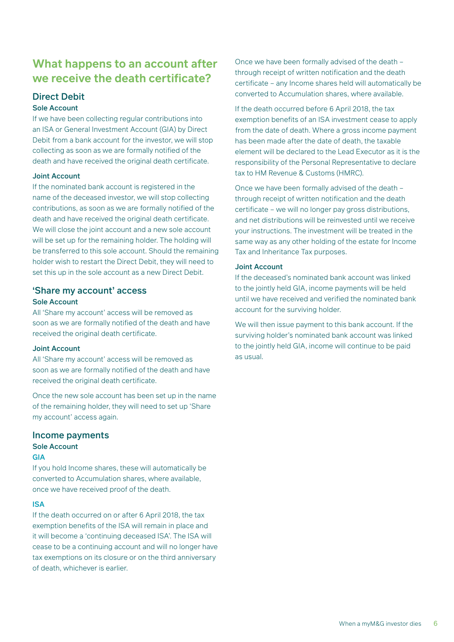# **What happens to an account after we receive the death certificate?**

# Direct Debit

### Sole Account

If we have been collecting regular contributions into an ISA or General Investment Account (GIA) by Direct Debit from a bank account for the investor, we will stop collecting as soon as we are formally notified of the death and have received the original death certificate.

#### Joint Account

If the nominated bank account is registered in the name of the deceased investor, we will stop collecting contributions, as soon as we are formally notified of the death and have received the original death certificate. We will close the joint account and a new sole account will be set up for the remaining holder. The holding will be transferred to this sole account. Should the remaining holder wish to restart the Direct Debit, they will need to set this up in the sole account as a new Direct Debit.

### 'Share my account' access Sole Account

All 'Share my account' access will be removed as soon as we are formally notified of the death and have received the original death certificate.

#### Joint Account

All 'Share my account' access will be removed as soon as we are formally notified of the death and have received the original death certificate.

Once the new sole account has been set up in the name of the remaining holder, they will need to set up 'Share my account' access again.

### Income payments Sole Account

#### GIA

If you hold Income shares, these will automatically be converted to Accumulation shares, where available, once we have received proof of the death.

### ISA

If the death occurred on or after 6 April 2018, the tax exemption benefits of the ISA will remain in place and it will become a 'continuing deceased ISA'. The ISA will cease to be a continuing account and will no longer have tax exemptions on its closure or on the third anniversary of death, whichever is earlier.

Once we have been formally advised of the death – through receipt of written notification and the death certificate – any Income shares held will automatically be converted to Accumulation shares, where available.

If the death occurred before 6 April 2018, the tax exemption benefits of an ISA investment cease to apply from the date of death. Where a gross income payment has been made after the date of death, the taxable element will be declared to the Lead Executor as it is the responsibility of the Personal Representative to declare tax to HM Revenue & Customs (HMRC).

Once we have been formally advised of the death – through receipt of written notification and the death certificate – we will no longer pay gross distributions, and net distributions will be reinvested until we receive your instructions. The investment will be treated in the same way as any other holding of the estate for Income Tax and Inheritance Tax purposes.

#### Joint Account

If the deceased's nominated bank account was linked to the jointly held GIA, income payments will be held until we have received and verified the nominated bank account for the surviving holder.

We will then issue payment to this bank account. If the surviving holder's nominated bank account was linked to the jointly held GIA, income will continue to be paid as usual.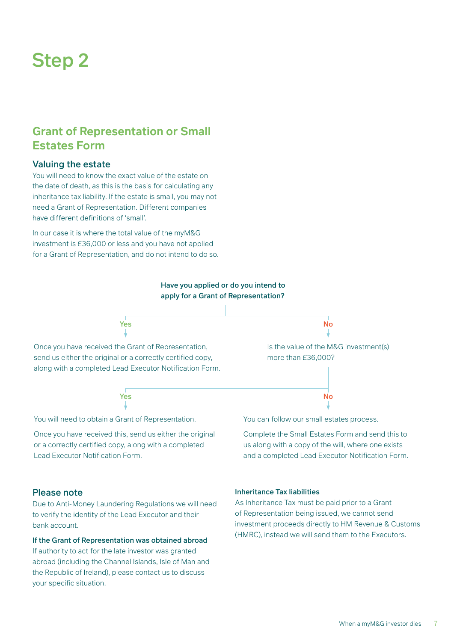# Step 2

## **Grant of Representation or Small Estates Form**

### Valuing the estate

You will need to know the exact value of the estate on the date of death, as this is the basis for calculating any inheritance tax liability. If the estate is small, you may not need a Grant of Representation. Different companies have different definitions of 'small'.

In our case it is where the total value of the myM&G investment is £36,000 or less and you have not applied for a Grant of Representation, and do not intend to do so.



Once you have received this, send us either the original or a correctly certified copy, along with a completed Lead Executor Notification Form.

Complete the Small Estates Form and send this to us along with a copy of the will, where one exists and a completed Lead Executor Notification Form.

#### Please note

Due to Anti-Money Laundering Regulations we will need to verify the identity of the Lead Executor and their bank account.

### If the Grant of Representation was obtained abroad

If authority to act for the late investor was granted abroad (including the Channel Islands, Isle of Man and the Republic of Ireland), please contact us to discuss your specific situation.

#### Inheritance Tax liabilities

As Inheritance Tax must be paid prior to a Grant of Representation being issued, we cannot send investment proceeds directly to HM Revenue & Customs (HMRC), instead we will send them to the Executors.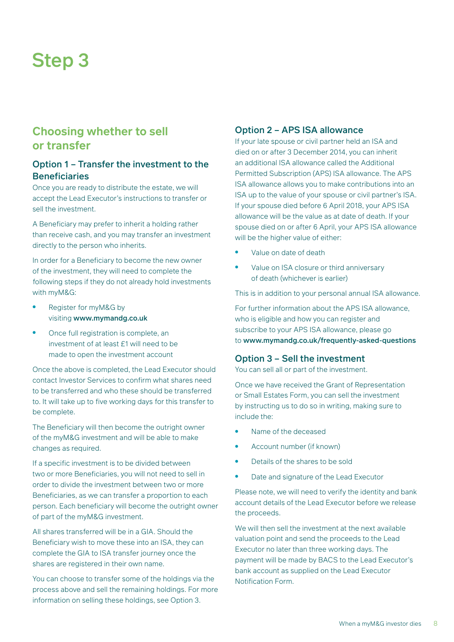# Step 3

## **Choosing whether to sell or transfer**

### Option 1 – Transfer the investment to the **Beneficiaries**

Once you are ready to distribute the estate, we will accept the Lead Executor's instructions to transfer or sell the investment.

A Beneficiary may prefer to inherit a holding rather than receive cash, and you may transfer an investment directly to the person who inherits.

In order for a Beneficiary to become the new owner of the investment, they will need to complete the following steps if they do not already hold investments with myM&G:

- Register for myM&G by visiting www.mymandg.co.uk
- Once full registration is complete, an investment of at least £1 will need to be made to open the investment account

Once the above is completed, the Lead Executor should contact Investor Services to confirm what shares need to be transferred and who these should be transferred to. It will take up to five working days for this transfer to be complete.

The Beneficiary will then become the outright owner of the myM&G investment and will be able to make changes as required.

If a specific investment is to be divided between two or more Beneficiaries, you will not need to sell in order to divide the investment between two or more Beneficiaries, as we can transfer a proportion to each person. Each beneficiary will become the outright owner of part of the myM&G investment.

All shares transferred will be in a GIA. Should the Beneficiary wish to move these into an ISA, they can complete the GIA to ISA transfer journey once the shares are registered in their own name.

You can choose to transfer some of the holdings via the process above and sell the remaining holdings. For more information on selling these holdings, see Option 3.

## Option 2 – APS ISA allowance

If your late spouse or civil partner held an ISA and died on or after 3 December 2014, you can inherit an additional ISA allowance called the Additional Permitted Subscription (APS) ISA allowance. The APS ISA allowance allows you to make contributions into an ISA up to the value of your spouse or civil partner's ISA. If your spouse died before 6 April 2018, your APS ISA allowance will be the value as at date of death. If your spouse died on or after 6 April, your APS ISA allowance will be the higher value of either:

- Value on date of death
- Value on ISA closure or third anniversary of death (whichever is earlier)

This is in addition to your personal annual ISA allowance.

For further information about the APS ISA allowance, who is eligible and how you can register and subscribe to your APS ISA allowance, please go to www.mymandg.co.uk/frequently-asked-questions

### Option 3 – Sell the investment

You can sell all or part of the investment.

Once we have received the Grant of Representation or Small Estates Form, you can sell the investment by instructing us to do so in writing, making sure to include the:

- Name of the deceased
- Account number (if known)
- Details of the shares to be sold
- Date and signature of the Lead Executor

Please note, we will need to verify the identity and bank account details of the Lead Executor before we release the proceeds.

We will then sell the investment at the next available valuation point and send the proceeds to the Lead Executor no later than three working days. The payment will be made by BACS to the Lead Executor's bank account as supplied on the Lead Executor Notification Form.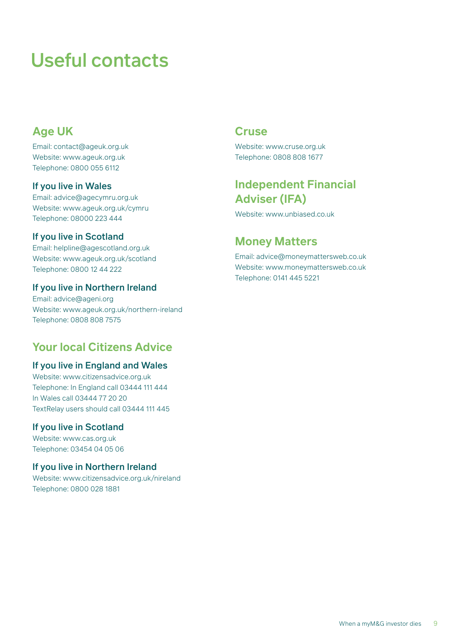# Useful contacts

# **Age UK**

Email: contact@ageuk.org.uk Website: www.ageuk.org.uk Telephone: 0800 055 6112

### If you live in Wales

Email: advice@agecymru.org.uk Website: www.ageuk.org.uk/cymru Telephone: 08000 223 444

### If you live in Scotland

Email: helpline@agescotland.org.uk Website: www.ageuk.org.uk/scotland Telephone: 0800 12 44 222

### If you live in Northern Ireland

Email: advice@ageni.org Website: www.ageuk.org.uk/northern-ireland Telephone: 0808 808 7575

## **Your local Citizens Advice**

### If you live in England and Wales

Website: www.citizensadvice.org.uk Telephone: In England call 03444 111 444 In Wales call 03444 77 20 20 TextRelay users should call 03444 111 445

### If you live in Scotland

Website: www.cas.org.uk Telephone: 03454 04 05 06

### If you live in Northern Ireland

Website: www.citizensadvice.org.uk/nireland Telephone: 0800 028 1881

## **Cruse**

Website: www.cruse.org.uk Telephone: 0808 808 1677

## **Independent Financial Adviser (IFA)**

Website: www.unbiased.co.uk

## **Money Matters**

Email: advice@moneymattersweb.co.uk Website: www.moneymattersweb.co.uk Telephone: 0141 445 5221